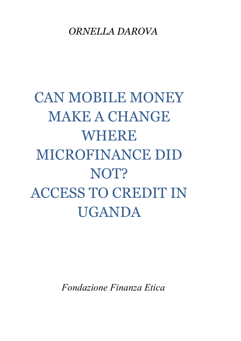### *ORNELLA DAROVA*

# CAN MOBILE MONEY MAKE A CHANGE WHERE MICROFINANCE DID NOT? ACCESS TO CREDIT IN UGANDA

*Fondazione Finanza Etica*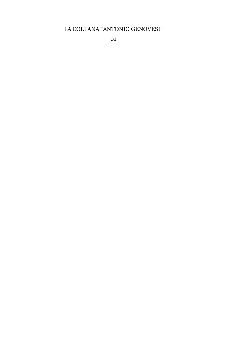#### LA COLLANA "ANTONIO GENOVESI"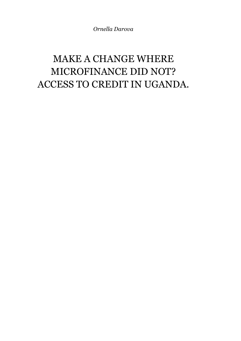*Ornella Darova*

## MAKE A CHANGE WHERE MICROFINANCE DID NOT? ACCESS TO CREDIT IN UGANDA.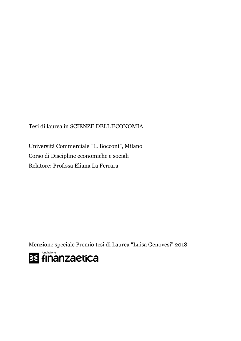Tesi di laurea in SCIENZE DELL'ECONOMIA

Università Commerciale "L. Bocconi", Milano Corso di Discipline economiche e sociali Relatore: Prof.ssa Eliana La Ferrara

Menzione speciale Premio tesi di Laurea "Luisa Genovesi" 2018

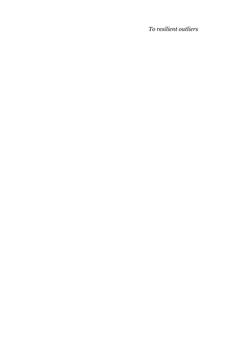*To resilient outliers*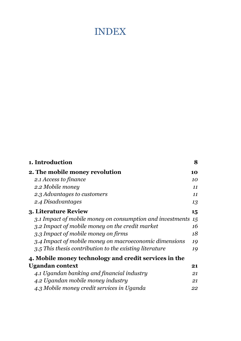### INDEX

| 1. Introduction                                           | 8  |
|-----------------------------------------------------------|----|
| 2. The mobile money revolution                            | 10 |
| 2.1 Access to finance                                     | 10 |
| 2.2 Mobile money                                          | 11 |
| 2.3 Advantages to customers                               | 11 |
| 2.4 Disadvantages                                         | 13 |
| 3. Literature Review                                      | 15 |
| 3.1 Impact of mobile money on consumption and investments | 15 |
| 3.2 Impact of mobile money on the credit market           | 16 |
| 3.3 Impact of mobile money on firms                       | 18 |
| 3.4 Impact of mobile money on macroeconomic dimensions    | 19 |
| 3.5 This thesis contribution to the existing literature   | 19 |
| 4. Mobile money technology and credit services in the     |    |
| Ugandan context                                           | 21 |
| 4.1 Ugandan banking and financial industry                | 21 |
| 4.2 Ugandan mobile money industry                         | 21 |
| 4.3 Mobile money credit services in Uganda                | 22 |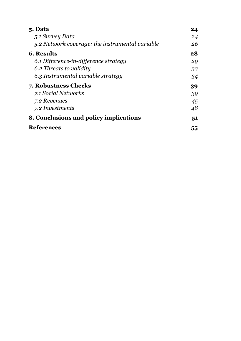| 5. Data                                         | 24 |
|-------------------------------------------------|----|
| 5.1 Survey Data                                 | 24 |
| 5.2 Network coverage: the instrumental variable | 26 |
| <b>6. Results</b>                               | 28 |
| 6.1 Difference-in-difference strategy           | 29 |
| 6.2 Threats to validity                         | 33 |
| 6.3 Instrumental variable strategy              | 34 |
| 7. Robustness Checks                            | 39 |
| 7.1 Social Networks                             | 39 |
| 7.2 Revenues                                    | 45 |
| 7.2 Investments                                 | 48 |
| 8. Conclusions and policy implications          | 51 |
| <b>References</b>                               | 55 |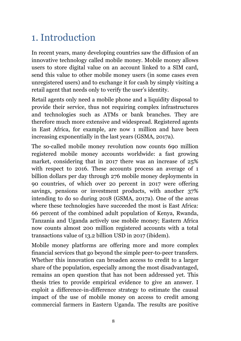## 1. Introduction

In recent years, many developing countries saw the diffusion of an innovative technology called mobile money. Mobile money allows users to store digital value on an account linked to a SIM card, send this value to other mobile money users (in some cases even unregistered users) and to exchange it for cash by simply visiting a retail agent that needs only to verify the user's identity.

Retail agents only need a mobile phone and a liquidity disposal to provide their service, thus not requiring complex infrastructures and technologies such as ATMs or bank branches. They are therefore much more extensive and widespread. Registered agents in East Africa, for example, are now 1 million and have been increasing exponentially in the last years (GSMA, 2017a).

The so-called mobile money revolution now counts 690 million registered mobile money accounts worldwide: a fast growing market, considering that in 2017 there was an increase of 25% with respect to 2016. These accounts process an average of 1 billion dollars per day through 276 mobile money deployments in 90 countries, of which over 20 percent in 2017 were offering savings, pensions or investment products, with another 37% intending to do so during 2018 (GSMA, 2017a). One of the areas where these technologies have succeeded the most is East Africa: 66 percent of the combined adult population of Kenya, Rwanda, Tanzania and Uganda actively use mobile money; Eastern Africa now counts almost 200 million registered accounts with a total transactions value of 13.2 billion USD in 2017 (ibidem).

Mobile money platforms are offering more and more complex financial services that go beyond the simple peer-to-peer transfers. Whether this innovation can broaden access to credit to a larger share of the population, especially among the most disadvantaged, remains an open question that has not been addressed yet. This thesis tries to provide empirical evidence to give an answer. I exploit a difference-in-difference strategy to estimate the causal impact of the use of mobile money on access to credit among commercial farmers in Eastern Uganda. The results are positive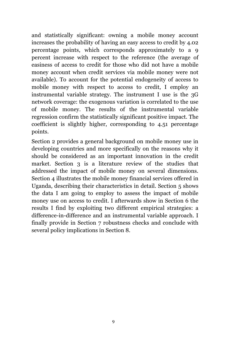and statistically significant: owning a mobile money account increases the probability of having an easy access to credit by 4.02 percentage points, which corresponds approximately to a 9 percent increase with respect to the reference (the average of easiness of access to credit for those who did not have a mobile money account when credit services via mobile money were not available). To account for the potential endogeneity of access to mobile money with respect to access to credit, I employ an instrumental variable strategy. The instrument I use is the 3G network coverage: the exogenous variation is correlated to the use of mobile money. The results of the instrumental variable regression confirm the statistically significant positive impact. The coefficient is slightly higher, corresponding to 4.51 percentage points.

Section 2 provides a general background on mobile money use in developing countries and more specifically on the reasons why it should be considered as an important innovation in the credit market. Section 3 is a literature review of the studies that addressed the impact of mobile money on several dimensions. Section 4 illustrates the mobile money financial services offered in Uganda, describing their characteristics in detail. Section 5 shows the data I am going to employ to assess the impact of mobile money use on access to credit. I afterwards show in Section 6 the results I find by exploiting two different empirical strategies: a difference-in-difference and an instrumental variable approach. I finally provide in Section 7 robustness checks and conclude with several policy implications in Section 8.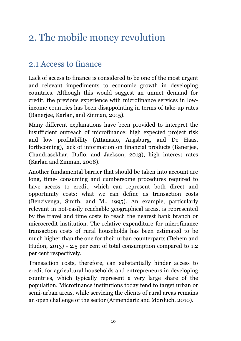## 2. The mobile money revolution

#### 2.1 Access to finance

Lack of access to finance is considered to be one of the most urgent and relevant impediments to economic growth in developing countries. Although this would suggest an unmet demand for credit, the previous experience with microfinance services in lowincome countries has been disappointing in terms of take-up rates (Banerjee, Karlan, and Zinman, 2015).

Many different explanations have been provided to interpret the insufficient outreach of microfinance: high expected project risk and low profitability (Attanasio, Augsburg, and De Haas, forthcoming), lack of information on financial products (Banerjee, Chandrasekhar, Duflo, and Jackson, 2013), high interest rates (Karlan and Zinman, 2008).

Another fundamental barrier that should be taken into account are long, time- consuming and cumbersome procedures required to have access to credit, which can represent both direct and opportunity costs: what we can define as transaction costs (Bencivenga, Smith, and M., 1995). An example, particularly relevant in not-easily reachable geographical areas, is represented by the travel and time costs to reach the nearest bank branch or microcredit institution. The relative expenditure for microfinance transaction costs of rural households has been estimated to be much higher than the one for their urban counterparts (Dehem and Hudon, 2013) - 2.5 per cent of total consumption compared to 1.2 per cent respectively.

Transaction costs, therefore, can substantially hinder access to credit for agricultural households and entrepreneurs in developing countries, which typically represent a very large share of the population. Microfinance institutions today tend to target urban or semi-urban areas, while servicing the clients of rural areas remains an open challenge of the sector (Armendariz and Morduch, 2010).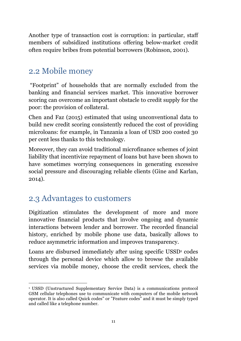Another type of transaction cost is corruption: in particular, staff members of subsidized institutions offering below-market credit often require bribes from potential borrowers (Robinson, 2001).

#### 2.2 Mobile money

"Footprint" of households that are normally excluded from the banking and financial services market. This innovative borrower scoring can overcome an important obstacle to credit supply for the poor: the provision of collateral.

Chen and Faz (2015) estimated that using unconventional data to build new credit scoring consistently reduced the cost of providing microloans: for example, in Tanzania a loan of USD 200 costed 30 per cent less thanks to this technology.

Moreover, they can avoid traditional microfinance schemes of joint liability that incentivize repayment of loans but have been shown to have sometimes worrying consequences in generating excessive social pressure and discouraging reliable clients (Gine and Karlan, 2014).

#### 2.3 Advantages to customers

Digitization stimulates the development of more and more innovative financial products that involve ongoing and dynamic interactions between lender and borrower. The recorded financial history, enriched by mobile phone use data, basically allows to reduce asymmetric information and improves transparency.

Loans are disbursed immediately after using specific USSD<sup>1</sup> codes through the personal device which allow to browse the available services via mobile money, choose the credit services, check the

 <sup>1</sup> USSD (Unstructured Supplementary Service Data) is a communications protocol GSM cellular telephones use to communicate with computers of the mobile network operator. It is also called Quick codes" or "Feature codes" and it must be simply typed and called like a telephone number.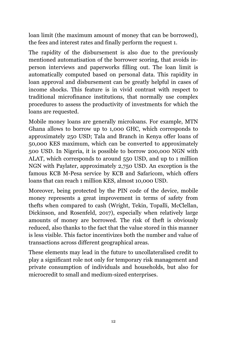loan limit (the maximum amount of money that can be borrowed), the fees and interest rates and finally perform the request 1.

The rapidity of the disbursement is also due to the previously mentioned automatisation of the borrower scoring, that avoids inperson interviews and paperworks filling out. The loan limit is automatically computed based on personal data. This rapidity in loan approval and disbursement can be greatly helpful in cases of income shocks. This feature is in vivid contrast with respect to traditional microfinance institutions, that normally use complex procedures to assess the productivity of investments for which the loans are requested.

Mobile money loans are generally microloans. For example, MTN Ghana allows to borrow up to 1,000 GHC, which corresponds to approximately 250 USD; Tala and Branch in Kenya offer loans of 50,000 KES maximum, which can be converted to approximately 500 USD. In Nigeria, it is possible to borrow 200,000 NGN with ALAT, which corresponds to around 550 USD, and up to 1 million NGN with Paylater, approximately 2,750 USD. An exception is the famous KCB M-Pesa service by KCB and Safaricom, which offers loans that can reach 1 million KES, almost 10,000 USD.

Moreover, being protected by the PIN code of the device, mobile money represents a great improvement in terms of safety from thefts when compared to cash (Wright, Tekin, Topalli, McClellan, Dickinson, and Rosenfeld, 2017), especially when relatively large amounts of money are borrowed. The risk of theft is obviously reduced, also thanks to the fact that the value stored in this manner is less visible. This factor incentivizes both the number and value of transactions across different geographical areas.

These elements may lead in the future to uncollateralised credit to play a significant role not only for temporary risk management and private consumption of individuals and households, but also for microcredit to small and medium-sized enterprises.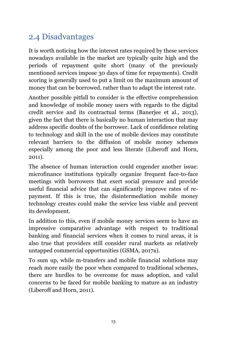### 2.4 Disadvantages

It is worth noticing how the interest rates required by these services nowadays available in the market are typically quite high and the periods of repayment quite short (many of the previously mentioned services impose 30 days of time for repayments). Credit scoring is generally used to put a limit on the maximum amount of money that can be borrowed, rather than to adapt the interest rate.

Another possible pitfall to consider is the effective comprehension and knowledge of mobile money users with regards to the digital credit service and its contractual terms (Banerjee et al., 2013), given the fact that there is basically no human interaction that may address specific doubts of the borrower. Lack of confidence relating to technology and skill in the use of mobile devices may constitute relevant barriers to the diffusion of mobile money schemes especially among the poor and less literate (Liberoff and Horn, 2011).

The absence of human interaction could engender another issue: microfinance institutions typically organize frequent face-to-face meetings with borrowers that exert social pressure and provide useful financial advice that can significantly improve rates of repayment. If this is true, the disintermediation mobile money technology creates could make the service less viable and prevent its development.

In addition to this, even if mobile money services seem to have an impressive comparative advantage with respect to traditional banking and financial services when it comes to rural areas, it is also true that providers still consider rural markets as relatively untapped commercial opportunities (GSMA, 2017a).

To sum up, while m-transfers and mobile financial solutions may reach more easily the poor when compared to traditional schemes, there are hurdles to be overcome for mass adoption, and valid concerns to be faced for mobile banking to mature as an industry (Liberoff and Horn, 2011).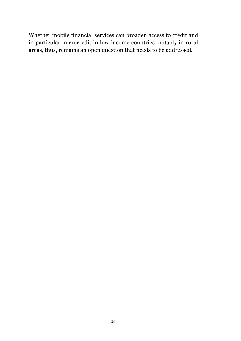Whether mobile financial services can broaden access to credit and in particular microcredit in low-income countries, notably in rural areas, thus, remains an open question that needs to be addressed.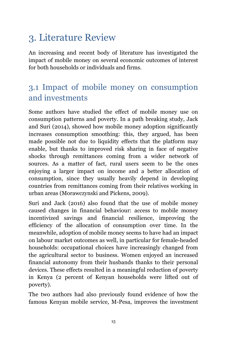## 3. Literature Review

An increasing and recent body of literature has investigated the impact of mobile money on several economic outcomes of interest for both households or individuals and firms.

#### 3.1 Impact of mobile money on consumption and investments

Some authors have studied the effect of mobile money use on consumption patterns and poverty. In a path breaking study, Jack and Suri (2014), showed how mobile money adoption significantly increases consumption smoothing: this, they argued, has been made possible not due to liquidity effects that the platform may enable, but thanks to improved risk sharing in face of negative shocks through remittances coming from a wider network of sources. As a matter of fact, rural users seem to be the ones enjoying a larger impact on income and a better allocation of consumption, since they usually heavily depend in developing countries from remittances coming from their relatives working in urban areas (Morawczynski and Pickens, 2009).

Suri and Jack (2016) also found that the use of mobile money caused changes in financial behaviour: access to mobile money incentivized savings and financial resilience, improving the efficiency of the allocation of consumption over time. In the meanwhile, adoption of mobile money seems to have had an impact on labour market outcomes as well, in particular for female-headed households: occupational choices have increasingly changed from the agricultural sector to business. Women enjoyed an increased financial autonomy from their husbands thanks to their personal devices. These effects resulted in a meaningful reduction of poverty in Kenya (2 percent of Kenyan households were lifted out of poverty).

The two authors had also previously found evidence of how the famous Kenyan mobile service, M-Pesa, improves the investment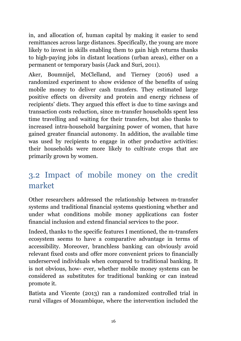in, and allocation of, human capital by making it easier to send remittances across large distances. Specifically, the young are more likely to invest in skills enabling them to gain high returns thanks to high-paying jobs in distant locations (urban areas), either on a permanent or temporary basis (Jack and Suri, 2011).

Aker, Boumnijel, McClelland, and Tierney (2016) used a randomized experiment to show evidence of the benefits of using mobile money to deliver cash transfers. They estimated large positive effects on diversity and protein and energy richness of recipients' diets. They argued this effect is due to time savings and transaction costs reduction, since m-transfer households spent less time travelling and waiting for their transfers, but also thanks to increased intra-household bargaining power of women, that have gained greater financial autonomy. In addition, the available time was used by recipients to engage in other productive activities: their households were more likely to cultivate crops that are primarily grown by women.

### 3.2 Impact of mobile money on the credit market

Other researchers addressed the relationship between m-transfer systems and traditional financial systems questioning whether and under what conditions mobile money applications can foster financial inclusion and extend financial services to the poor.

Indeed, thanks to the specific features I mentioned, the m-transfers ecosystem seems to have a comparative advantage in terms of accessibility. Moreover, branchless banking can obviously avoid relevant fixed costs and offer more convenient prices to financially underserved individuals when compared to traditional banking. It is not obvious, how- ever, whether mobile money systems can be considered as substitutes for traditional banking or can instead promote it.

Batista and Vicente (2013) ran a randomized controlled trial in rural villages of Mozambique, where the intervention included the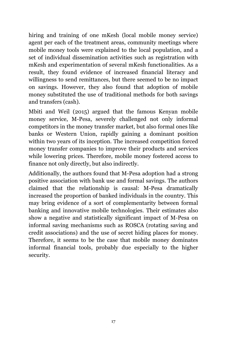hiring and training of one mKesh (local mobile money service) agent per each of the treatment areas, community meetings where mobile money tools were explained to the local population, and a set of individual dissemination activities such as registration with mKesh and experimentation of several mKesh functionalities. As a result, they found evidence of increased financial literacy and willingness to send remittances, but there seemed to be no impact on savings. However, they also found that adoption of mobile money substituted the use of traditional methods for both savings and transfers (cash).

Mbiti and Weil (2015) argued that the famous Kenyan mobile money service, M-Pesa, severely challenged not only informal competitors in the money transfer market, but also formal ones like banks or Western Union, rapidly gaining a dominant position within two years of its inception. The increased competition forced money transfer companies to improve their products and services while lowering prices. Therefore, mobile money fostered access to finance not only directly, but also indirectly.

Additionally, the authors found that M-Pesa adoption had a strong positive association with bank use and formal savings. The authors claimed that the relationship is causal: M-Pesa dramatically increased the proportion of banked individuals in the country. This may bring evidence of a sort of complementarity between formal banking and innovative mobile technologies. Their estimates also show a negative and statistically significant impact of M-Pesa on informal saving mechanisms such as ROSCA (rotating saving and credit associations) and the use of secret hiding places for money. Therefore, it seems to be the case that mobile money dominates informal financial tools, probably due especially to the higher security.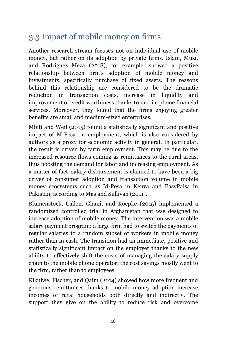### 3.3 Impact of mobile money on firms

Another research stream focuses not on individual use of mobile money, but rather on its adoption by private firms. Islam, Muzi, and Rodriguez Meza (2018), for example, showed a positive relationship between firm's adoption of mobile money and investments, specifically purchase of fixed assets. The reasons behind this relationship are considered to be the dramatic reduction in transaction costs, increase in liquidity and improvement of credit worthiness thanks to mobile phone financial services. Moreover, they found that the firms enjoying greater benefits are small and medium-sized enterprises.

Mbiti and Weil (2015) found a statistically significant and positive impact of M-Pesa on employment, which is also considered by authors as a proxy for economic activity in general. In particular, the result is driven by farm employment. This may be due to the increased resource flows coming as remittances to the rural areas, thus boosting the demand for labor and increasing employment. As a matter of fact, salary disbursement is claimed to have been a big driver of consumer adoption and transaction volume in mobile money ecosystems such as M-Pesa in Kenya and EasyPaisa in Pakistan, according to Mas and Sullivan (2011).

Blumenstock, Callen, Ghani, and Koepke (2015) implemented a randomized controlled trial in Afghanistan that was designed to increase adoption of mobile money. The intervention was a mobile salary payment program: a large firm had to switch the payments of regular salaries to a random subset of workers in mobile money rather than in cash. The transition had an immediate, positive and statistically significant impact on the employer thanks to the new ability to effectively shift the costs of managing the salary supply chain to the mobile phone operator: the cost savings mostly went to the firm, rather than to employees.

Kikulwe, Fischer, and Qaim (2014) showed how more frequent and generous remittances thanks to mobile money adoption increase incomes of rural households both directly and indirectly. The support they give on the ability to reduce risk and overcome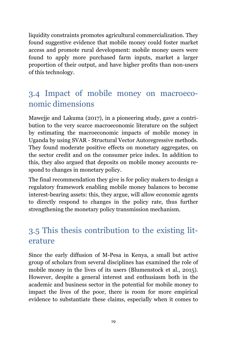liquidity constraints promotes agricultural commercialization. They found suggestive evidence that mobile money could foster market access and promote rural development: mobile money users were found to apply more purchased farm inputs, market a larger proportion of their output, and have higher profits than non-users of this technology.

#### 3.4 Impact of mobile money on macroeconomic dimensions

Mawejje and Lakuma (2017), in a pioneering study, gave a contribution to the very scarce macroeconomic literature on the subject by estimating the macroeconomic impacts of mobile money in Uganda by using SVAR - Structural Vector Autoregressive methods. They found moderate positive effects on monetary aggregates, on the sector credit and on the consumer price index. In addition to this, they also argued that deposits on mobile money accounts respond to changes in monetary policy.

The final recommendation they give is for policy makers to design a regulatory framework enabling mobile money balances to become interest-bearing assets: this, they argue, will allow economic agents to directly respond to changes in the policy rate, thus further strengthening the monetary policy transmission mechanism.

### 3.5 This thesis contribution to the existing literature

Since the early diffusion of M-Pesa in Kenya, a small but active group of scholars from several disciplines has examined the role of mobile money in the lives of its users (Blumenstock et al., 2015). However, despite a general interest and enthusiasm both in the academic and business sector in the potential for mobile money to impact the lives of the poor, there is room for more empirical evidence to substantiate these claims, especially when it comes to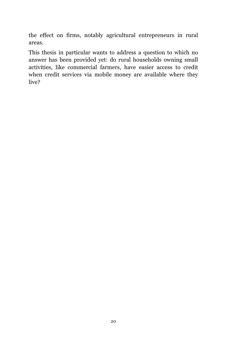the effect on firms, notably agricultural entrepreneurs in rural areas.

This thesis in particular wants to address a question to which no answer has been provided yet: do rural households owning small activities, like commercial farmers, have easier access to credit when credit services via mobile money are available where they live?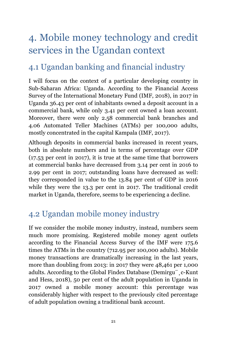## 4. Mobile money technology and credit services in the Ugandan context

### 4.1 Ugandan banking and financial industry

I will focus on the context of a particular developing country in Sub-Saharan Africa: Uganda. According to the Financial Access Survey of the International Monetary Fund (IMF, 2018), in 2017 in Uganda 36.43 per cent of inhabitants owned a deposit account in a commercial bank, while only 3.41 per cent owned a loan account. Moreover, there were only 2.58 commercial bank branches and 4.06 Automated Teller Machines (ATMs) per 100,000 adults, mostly concentrated in the capital Kampala (IMF, 2017).

Although deposits in commercial banks increased in recent years, both in absolute numbers and in terms of percentage over GDP (17.53 per cent in 2017), it is true at the same time that borrowers at commercial banks have decreased from 3.14 per cent in 2016 to 2.99 per cent in 2017; outstanding loans have decreased as well: they corresponded in value to the 13.84 per cent of GDP in 2016 while they were the 13.3 per cent in 2017. The traditional credit market in Uganda, therefore, seems to be experiencing a decline.

### 4.2 Ugandan mobile money industry

If we consider the mobile money industry, instead, numbers seem much more promising. Registered mobile money agent outlets according to the Financial Access Survey of the IMF were 175.6 times the ATMs in the country (712.95 per 100,000 adults). Mobile money transactions are dramatically increasing in the last years, more than doubling from 2013: in 2017 they were 48,461 per 1,000 adults. According to the Global Findex Database (Demirgu¨¸c-Kunt and Hess, 2018), 50 per cent of the adult population in Uganda in 2017 owned a mobile money account: this percentage was considerably higher with respect to the previously cited percentage of adult population owning a traditional bank account.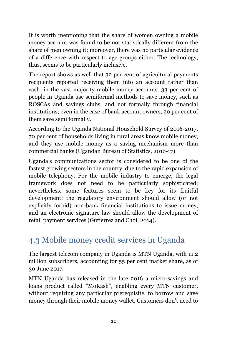It is worth mentioning that the share of women owning a mobile money account was found to be not statistically different from the share of men owning it; moreover, there was no particular evidence of a difference with respect to age groups either. The technology, thus, seems to be particularly inclusive.

The report shows as well that 32 per cent of agricultural payments recipients reported receiving them into an account rather than cash, in the vast majority mobile money accounts. 33 per cent of people in Uganda use semiformal methods to save money, such as ROSCAs and savings clubs, and not formally through financial institutions; even in the case of bank account owners, 20 per cent of them save semi formally.

According to the Uganda National Household Survey of 2016-2017, 70 per cent of households living in rural areas know mobile money, and they use mobile money as a saving mechanism more than commercial banks (Ugandan Bureau of Statistics, 2016-17).

Uganda's communications sector is considered to be one of the fastest growing sectors in the country, due to the rapid expansion of mobile telephony. For the mobile industry to emerge, the legal framework does not need to be particularly sophisticated; nevertheless, some features seem to be key for its fruitful development: the regulatory environment should allow (or not explicitly forbid) non-bank financial institutions to issue money, and an electronic signature law should allow the development of retail payment services (Gutierrez and Choi, 2014).

### 4.3 Mobile money credit services in Uganda

The largest telecom company in Uganda is MTN Uganda, with 11.2 million subscribers, accounting for 55 per cent market share, as of 30 June 2017.

MTN Uganda has released in the late 2016 a micro-savings and loans product called "MoKash", enabling every MTN customer, without requiring any particular prerequisite, to borrow and save money through their mobile money wallet. Customers don't need to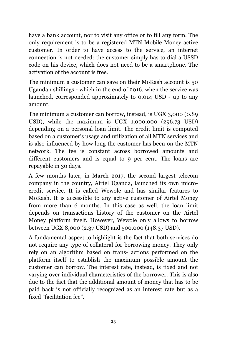have a bank account, nor to visit any office or to fill any form. The only requirement is to be a registered MTN Mobile Money active customer. In order to have access to the service, an internet connection is not needed: the customer simply has to dial a USSD code on his device, which does not need to be a smartphone. The activation of the account is free.

The minimum a customer can save on their MoKash account is 50 Ugandan shillings - which in the end of 2016, when the service was launched, corresponded approximately to 0.014 USD - up to any amount.

The minimum a customer can borrow, instead, is UGX 3,000 (0.89 USD), while the maximum is UGX 1,000,000 (296.73 USD) depending on a personal loan limit. The credit limit is computed based on a customer's usage and utilization of all MTN services and is also influenced by how long the customer has been on the MTN network. The fee is constant across borrowed amounts and different customers and is equal to 9 per cent. The loans are repayable in 30 days.

A few months later, in March 2017, the second largest telecom company in the country, Airtel Uganda, launched its own microcredit service. It is called Wewole and has similar features to MoKash. It is accessible to any active customer of Airtel Money from more than 6 months. In this case as well, the loan limit depends on transactions history of the customer on the Airtel Money platform itself. However, Wewole only allows to borrow between UGX 8,000 (2.37 USD) and 500,000 (148.37 USD).

A fundamental aspect to highlight is the fact that both services do not require any type of collateral for borrowing money. They only rely on an algorithm based on trans- actions performed on the platform itself to establish the maximum possible amount the customer can borrow. The interest rate, instead, is fixed and not varying over individual characteristics of the borrower. This is also due to the fact that the additional amount of money that has to be paid back is not officially recognized as an interest rate but as a fixed "facilitation fee".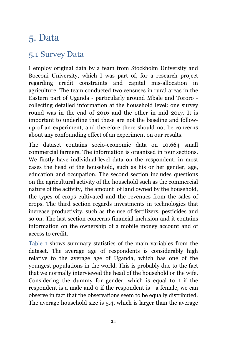### 5. Data

#### 5.1 Survey Data

I employ original data by a team from Stockholm University and Bocconi University, which I was part of, for a research project regarding credit constraints and capital mis-allocation in agriculture. The team conducted two censuses in rural areas in the Eastern part of Uganda - particularly around Mbale and Tororo collecting detailed information at the household level: one survey round was in the end of 2016 and the other in mid 2017. It is important to underline that these are not the baseline and followup of an experiment, and therefore there should not be concerns about any confounding effect of an experiment on our results.

The dataset contains socio-economic data on 10,664 small commercial farmers. The information is organized in four sections. We firstly have individual-level data on the respondent, in most cases the head of the household, such as his or her gender, age, education and occupation. The second section includes questions on the agricultural activity of the household such as the commercial nature of the activity, the amount of land owned by the household, the types of crops cultivated and the revenues from the sales of crops. The third section regards investments in technologies that increase productivity, such as the use of fertilizers, pesticides and so on. The last section concerns financial inclusion and it contains information on the ownership of a mobile money account and of access to credit.

Table 1 shows summary statistics of the main variables from the dataset. The average age of respondents is considerably high relative to the average age of Uganda, which has one of the youngest populations in the world. This is probably due to the fact that we normally interviewed the head of the household or the wife. Considering the dummy for gender, which is equal to 1 if the respondent is a male and 0 if the respondent is a female, we can observe in fact that the observations seem to be equally distributed. The average household size is 5.4, which is larger than the average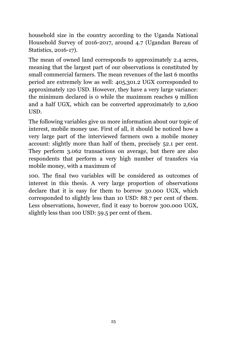household size in the country according to the Uganda National Household Survey of 2016-2017, around 4.7 (Ugandan Bureau of Statistics, 2016-17).

The mean of owned land corresponds to approximately 2.4 acres, meaning that the largest part of our observations is constituted by small commercial farmers. The mean revenues of the last 6 months period are extremely low as well: 405,301.2 UGX corresponded to approximately 120 USD. However, they have a very large variance: the minimum declared is 0 while the maximum reaches 9 million and a half UGX, which can be converted approximately to 2,600 USD.

The following variables give us more information about our topic of interest, mobile money use. First of all, it should be noticed how a very large part of the interviewed farmers own a mobile money account: slightly more than half of them, precisely 52.1 per cent. They perform 3.062 transactions on average, but there are also respondents that perform a very high number of transfers via mobile money, with a maximum of

100. The final two variables will be considered as outcomes of interest in this thesis. A very large proportion of observations declare that it is easy for them to borrow 30.000 UGX, which corresponded to slightly less than 10 USD: 88.7 per cent of them. Less observations, however, find it easy to borrow 300.000 UGX, slightly less than 100 USD: 59.5 per cent of them.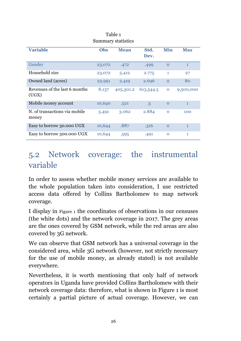|                                        |        | Summary statistics |           |              |              |
|----------------------------------------|--------|--------------------|-----------|--------------|--------------|
| <b>Variable</b>                        | Obs    | <b>Mean</b>        | Std.      | <b>Min</b>   | <b>Max</b>   |
|                                        |        |                    | Dev.      |              |              |
| Gender                                 | 23,072 | .472               | .499      | $\mathbf 0$  | $\mathbf{1}$ |
| Household size                         | 23,072 | 5.412              | 2.775     | 1            | 27           |
| Owned land (acres)                     | 22,991 | 2.419              | 2.696     | $\Omega$     | 80           |
| Revenues of the last 6 months<br>(UGX) | 8,137  | 405,301.2          | 613,544.5 | $\mathbf{O}$ | 9,500,000    |
| Mobile money account                   | 10,640 | .521               | $\cdot 5$ | $\Omega$     | $\mathbf{1}$ |
| N. of transactions via mobile<br>money | 5.491  | 3.062              | 2.884     | $\Omega$     | 100          |
| Easy to borrow 30.000 UGX              | 10,644 | .887               | .316      | $\Omega$     | $\mathbf{1}$ |
| Easy to borrow 300.000 UGX             | 10,644 | .595               | .491      | $\Omega$     | 1            |

Table 1

#### 5.2 Network coverage: the instrumental variable

In order to assess whether mobile money services are available to the whole population taken into consideration, I use restricted access data offered by Collins Bartholomew to map network coverage.

I display in Figure 1 the coordinates of observations in our censuses (the white dots) and the network coverage in 2017. The grey areas are the ones covered by GSM network, while the red areas are also covered by 3G network.

We can observe that GSM network has a universal coverage in the considered area, while 3G network (however, not strictly necessary for the use of mobile money, as already stated) is not available everywhere.

Nevertheless, it is worth mentioning that only half of network operators in Uganda have provided Collins Bartholomew with their network coverage data: therefore, what is shown in Figure 1 is most certainly a partial picture of actual coverage. However, we can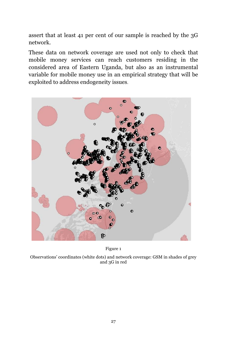assert that at least 41 per cent of our sample is reached by the 3G network.

These data on network coverage are used not only to check that mobile money services can reach customers residing in the considered area of Eastern Uganda, but also as an instrumental variable for mobile money use in an empirical strategy that will be exploited to address endogeneity issues.



Figure 1

Observations' coordinates (white dots) and network coverage: GSM in shades of grey and 3G in red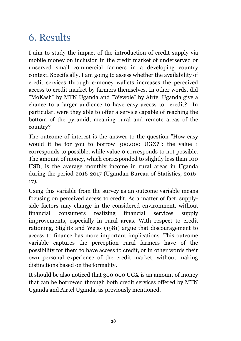### 6. Results

I aim to study the impact of the introduction of credit supply via mobile money on inclusion in the credit market of underserved or unserved small commercial farmers in a developing country context. Specifically, I am going to assess whether the availability of credit services through e-money wallets increases the perceived access to credit market by farmers themselves. In other words, did "MoKash" by MTN Uganda and "Wewole" by Airtel Uganda give a chance to a larger audience to have easy access to credit? In particular, were they able to offer a service capable of reaching the bottom of the pyramid, meaning rural and remote areas of the country?

The outcome of interest is the answer to the question "How easy would it be for you to borrow 300.000 UGX?": the value 1 corresponds to possible, while value 0 corresponds to not possible. The amount of money, which corresponded to slightly less than 100 USD, is the average monthly income in rural areas in Uganda during the period 2016-2017 (Ugandan Bureau of Statistics, 2016- 17).

Using this variable from the survey as an outcome variable means focusing on perceived access to credit. As a matter of fact, supplyside factors may change in the considered environment, without financial consumers realizing financial services supply improvements, especially in rural areas. With respect to credit rationing, Stiglitz and Weiss (1981) argue that discouragement to access to finance has more important implications. This outcome variable captures the perception rural farmers have of the possibility for them to have access to credit, or in other words their own personal experience of the credit market, without making distinctions based on the formality.

It should be also noticed that 300.000 UGX is an amount of money that can be borrowed through both credit services offered by MTN Uganda and Airtel Uganda, as previously mentioned.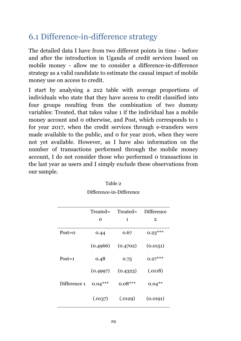### 6.1 Difference-in-difference strategy

The detailed data I have from two different points in time - before and after the introduction in Uganda of credit services based on mobile money - allow me to consider a difference-in-difference strategy as a valid candidate to estimate the causal impact of mobile money use on access to credit.

I start by analysing a 2x2 table with average proportions of individuals who state that they have access to credit classified into four groups resulting from the combination of two dummy variables: Treated, that takes value 1 if the individual has a mobile money account and 0 otherwise, and Post, which corresponds to 1 for year 2017, when the credit services through e-transfers were made available to the public, and 0 for year 2016, when they were not yet available. However, as I have also information on the number of transactions performed through the mobile money account, I do not consider those who performed 0 transactions in the last year as users and I simply exclude these observations from our sample.

|              | Treated=  | Treated=  | <b>Difference</b> |
|--------------|-----------|-----------|-------------------|
|              | O         | 1         | $\mathbf 2$       |
| $Post = 0$   | 0.44      | 0.67      | $0.23***$         |
|              | (0.4966)  | (0.4702)  | (0.0151)          |
| $Post=1$     | 0.48      | 0.75      | $0.27***$         |
|              | (0.4997)  | (0.4323)  | (.0118)           |
| Difference 1 | $0.04***$ | $0.08***$ | $0.04***$         |
|              | (.0137)   | (.0129)   | (0.0191)          |

| Table 2 |                          |
|---------|--------------------------|
|         | Difference-in-Difference |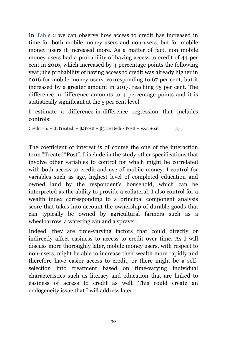In Table 2 we can observe how access to credit has increased in time for both mobile money users and non-users, but for mobile money users it increased more. As a matter of fact, non mobile money users had a probability of having access to credit of 44 per cent in 2016, which increased by 4 percentage points the following year; the probability of having access to credit was already higher in 2016 for mobile money users, corresponding to 67 per cent, but it increased by a greater amount in 2017, reaching 75 per cent. The difference in difference amounts to 4 percentage points and it is statistically significant at the 5 per cent level.

I estimate a difference-in-difference regression that includes controls:

Credit =  $\alpha$  + β1Treatedi + β2Postt + β3Treatedi \* Postt + γXit + sit (1)

The coefficient of interest is of course the one of the interaction term "Treated\*Post". I include in the study other specifications that involve other variables to control for which might be correlated with both access to credit and use of mobile money. I control for variables such as age, highest level of completed education and owned land by the respondent's household, which can be interpreted as the ability to provide a collateral. I also control for a wealth index corresponding to a principal component analysis score that takes into account the ownership of durable goods that can typically be owned by agricultural farmers such as a wheelbarrow, a watering can and a sprayer.

Indeed, they are time-varying factors that could directly or indirectly affect easiness to access to credit over time. As I will discuss more thoroughly later, mobile money users, with respect to non-users, might be able to increase their wealth more rapidly and therefore have easier access to credit, or there might be a selfselection into treatment based on time-varying individual characteristics such as literacy and education that are linked to easiness of access to credit as well. This could create an endogeneity issue that I will address later.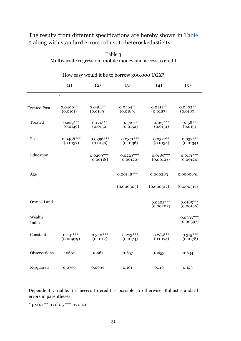#### The results from different specifications are hereby shown in Table 3 along with standard errors robust to heteroskedasticity.

| How easy would it be to borrow 300,000 UGX? |                         |                          |                          |                          |                          |
|---------------------------------------------|-------------------------|--------------------------|--------------------------|--------------------------|--------------------------|
|                                             | (1)                     | (2)                      | (3)                      | (4)                      | (5)                      |
|                                             |                         |                          |                          |                          |                          |
| <b>Treated Post</b>                         | $0.0400**$<br>(0.0191)  | $0.0461**$<br>(0.0189)   | $0.0464**$<br>(0.0189)   | $0.0411**$<br>(0.0187)   | $0.0402**$<br>(0.0187)   |
| Treated                                     | $0.229***$<br>(0.0149)  | $0.174***$<br>(0.0152)   | $0.172***$<br>(0.0152)   | $0.163***$<br>(0.0151)   | $0.158***$<br>(0.0151)   |
| Post                                        | $0.0408***$<br>(0.0137) | $0.0396***$<br>(0.0136)  | $0.0371***$<br>(0.0136)  | $0.0322**$<br>(0.0134)   | $0.0325***$<br>(0.0134)  |
| Education                                   |                         | $0.0209***$<br>(0.00118) | $0.0223***$<br>(0.00120) | $0.0185***$<br>(0.00123) | $0.0171***$<br>(0.00124) |
| Age                                         |                         |                          | $0.00148***$             | 0.000283                 | 0.0000691                |
|                                             |                         |                          | (0.000303)               | (0.000317)               | (0.000317)               |
| Owned Land                                  |                         |                          |                          | $0.0202***$<br>(0.00202) | $0.0185***$<br>(0.00196) |
| Wealth<br>Index                             |                         |                          |                          |                          | $0.0335***$<br>(0.00397) |
| Constant                                    | $0.441***$<br>(0.00979) | $0.340***$<br>(0.0112)   | $0.273***$<br>(0.0174)   | $0.289***$<br>(0.0174)   | $0.315***$<br>(0.0178)   |
| Observations                                | 10661                   | 10661                    | 10657                    | 10653                    | 10634                    |
| R-squared                                   | 0.0756                  | 0.0995                   | 0.101                    | 0.119                    | 0.123                    |

Table 3 Multivariate regression: mobile money and access to credit

Dependent variable: 1 if access to credit is possible, 0 otherwise. Robust standard errors in parentheses.

\* p<0.1 \*\* p<0.05 \*\*\* p<0.01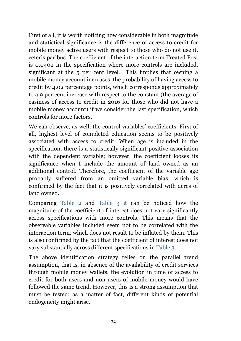First of all, it is worth noticing how considerable in both magnitude and statistical significance is the difference of access to credit for mobile money active users with respect to those who do not use it, ceteris paribus. The coefficient of the interaction term Treated Post is 0.0402 in the specification where more controls are included, significant at the 5 per cent level. This implies that owning a mobile money account increases the probability of having access to credit by 4.02 percentage points, which corresponds approximately to a 9 per cent increase with respect to the constant (the average of easiness of access to credit in 2016 for those who did not have a mobile money account) if we consider the last specification, which controls for more factors.

We can observe, as well, the control variables' coefficients. First of all, highest level of completed education seems to be positively associated with access to credit. When age is included in the specification, there is a statistically significant positive association with the dependent variable; however, the coefficient looses its significance when I include the amount of land owned as an additional control. Therefore, the coefficient of the variable age probably suffered from an omitted variable bias, which is confirmed by the fact that it is positively correlated with acres of land owned.

Comparing Table 2 and Table 3 it can be noticed how the magnitude of the coefficient of interest does not vary significantly across specifications with more controls. This means that the observable variables included seem not to be correlated with the interaction term, which does not result to be inflated by them. This is also confirmed by the fact that the coefficient of interest does not vary substantially across different specifications in Table 3.

The above identification strategy relies on the parallel trend assumption, that is, in absence of the availability of credit services through mobile money wallets, the evolution in time of access to credit for both users and non-users of mobile money would have followed the same trend. However, this is a strong assumption that must be tested: as a matter of fact, different kinds of potential endogeneity might arise.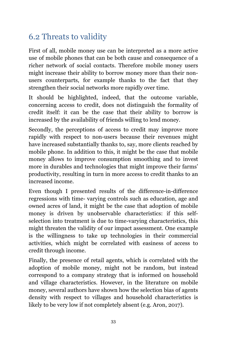### 6.2 Threats to validity

First of all, mobile money use can be interpreted as a more active use of mobile phones that can be both cause and consequence of a richer network of social contacts. Therefore mobile money users might increase their ability to borrow money more than their nonusers counterparts, for example thanks to the fact that they strengthen their social networks more rapidly over time.

It should be highlighted, indeed, that the outcome variable, concerning access to credit, does not distinguish the formality of credit itself: it can be the case that their ability to borrow is increased by the availability of friends willing to lend money.

Secondly, the perceptions of access to credit may improve more rapidly with respect to non-users because their revenues might have increased substantially thanks to, say, more clients reached by mobile phone. In addition to this, it might be the case that mobile money allows to improve consumption smoothing and to invest more in durables and technologies that might improve their farms' productivity, resulting in turn in more access to credit thanks to an increased income.

Even though I presented results of the difference-in-difference regressions with time- varying controls such as education, age and owned acres of land, it might be the case that adoption of mobile money is driven by unobservable characteristics: if this selfselection into treatment is due to time-varying characteristics, this might threaten the validity of our impact assessment. One example is the willingness to take up technologies in their commercial activities, which might be correlated with easiness of access to credit through income.

Finally, the presence of retail agents, which is correlated with the adoption of mobile money, might not be random, but instead correspond to a company strategy that is informed on household and village characteristics. However, in the literature on mobile money, several authors have shown how the selection bias of agents density with respect to villages and household characteristics is likely to be very low if not completely absent (e.g. Aron, 2017).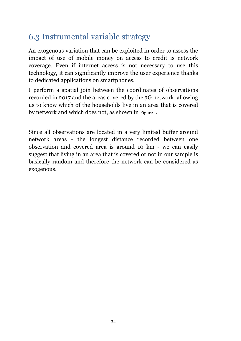### 6.3 Instrumental variable strategy

An exogenous variation that can be exploited in order to assess the impact of use of mobile money on access to credit is network coverage. Even if internet access is not necessary to use this technology, it can significantly improve the user experience thanks to dedicated applications on smartphones.

I perform a spatial join between the coordinates of observations recorded in 2017 and the areas covered by the 3G network, allowing us to know which of the households live in an area that is covered by network and which does not, as shown in Figure 1.

Since all observations are located in a very limited buffer around network areas - the longest distance recorded between one observation and covered area is around 10 km - we can easily suggest that living in an area that is covered or not in our sample is basically random and therefore the network can be considered as exogenous.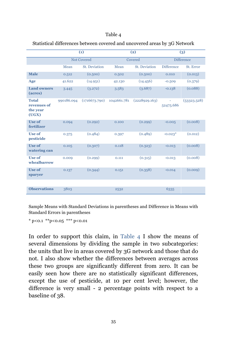#### Table 4

|                                                  |            | (1)                  |             | (2)           |                   | (3)               |  |
|--------------------------------------------------|------------|----------------------|-------------|---------------|-------------------|-------------------|--|
|                                                  |            | <b>Not Covered</b>   | Covered     |               |                   | <b>Difference</b> |  |
|                                                  | Mean       | <b>St.</b> Deviation | Mean        | St. Deviation | <b>Difference</b> | St. Error         |  |
| <b>Male</b>                                      | 0.512      | (0.500)              | 0.502       | (0.500)       | 0.010             | (0.013)           |  |
| Age                                              | 41.622     | (14.951)             | 42.130      | (14.456)      | $-0.509$          | (0.379)           |  |
| <b>Land owners</b><br>(acres)                    | 3.445      | (3.272)              | 3.583       | (3.687)       | $-0.138$          | (0.088)           |  |
| <b>Total</b><br>revenues of<br>the year<br>(UGX) | 990186.094 | (1716673.790)        | 1042661.781 | (2228929.163) | 52475.686         | (53323.528)       |  |
| Use of<br>fertilizer                             | 0.094      | (0.292)              | 0.100       | (0.299)       | $-0.005$          | (0.008)           |  |
| <b>Use of</b><br>pesticide                       | 0.375      | (0.484)              | 0.397       | (0.489)       | $-0.023*$         | (0.012)           |  |
| <b>Use of</b><br>watering can                    | 0.105      | (0.307)              | 0.118       | (0.323)       | $-0.013$          | (0.008)           |  |
| <b>Use of</b><br>whealbarrow                     | 0.009      | (0.299)              | 0.111       | (0.315)       | $-0.013$          | (0.008)           |  |
| Use of<br>sparyer                                | 0.137      | (0.344)              | 0.151       | (0.358)       | $-0.014$          | (0.009)           |  |
|                                                  |            |                      |             |               |                   |                   |  |
| <b>Observations</b>                              | 3803       |                      | 2532        |               | 6335              |                   |  |

#### Statistical differences between covered and uncovered areas by 3G Network

Sample Means with Standard Deviations in parentheses and Difference in Means with Standard Errors in parentheses

 $*$  p<0.1  $*$  $*$ p $<$ 0.05  $*$  $*$  $*$  p $<$ 0.01

In order to support this claim, in Table 4 I show the means of several dimensions by dividing the sample in two subcategories: the units that live in areas covered by 3G network and those that do not. I also show whether the differences between averages across these two groups are significantly different from zero. It can be easily seen how there are no statistically significant differences, except the use of pesticide, at 10 per cent level; however, the difference is very small - 2 percentage points with respect to a baseline of 38.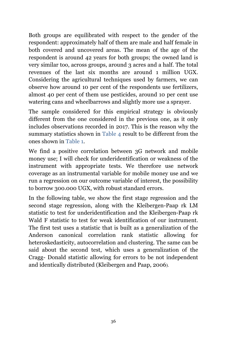Both groups are equilibrated with respect to the gender of the respondent: approximately half of them are male and half female in both covered and uncovered areas. The mean of the age of the respondent is around 42 years for both groups; the owned land is very similar too, across groups, around 3 acres and a half. The total revenues of the last six months are around 1 million UGX. Considering the agricultural techniques used by farmers, we can observe how around 10 per cent of the respondents use fertilizers, almost 40 per cent of them use pesticides, around 10 per cent use watering cans and wheelbarrows and slightly more use a sprayer.

The sample considered for this empirical strategy is obviously different from the one considered in the previous one, as it only includes observations recorded in 2017. This is the reason why the summary statistics shown in Table 4 result to be different from the ones shown in Table 1.

We find a positive correlation between 3G network and mobile money use; I will check for underidentification or weakness of the instrument with appropriate tests. We therefore use network coverage as an instrumental variable for mobile money use and we run a regression on our outcome variable of interest, the possibility to borrow 300.000 UGX, with robust standard errors.

In the following table, we show the first stage regression and the second stage regression, along with the Kleibergen-Paap rk LM statistic to test for underidentification and the Kleibergen-Paap rk Wald F statistic to test for weak identification of our instrument. The first test uses a statistic that is built as a generalization of the Anderson canonical correlation rank statistic allowing for heteroskedasticity, autocorrelation and clustering. The same can be said about the second test, which uses a generalization of the Cragg- Donald statistic allowing for errors to be not independent and identically distributed (Kleibergen and Paap, 2006).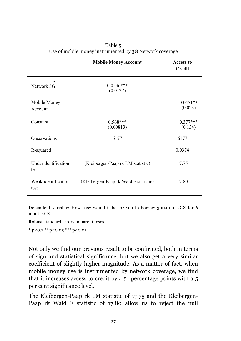|                             | <b>Mobile Money Account</b>           | <b>Access to</b><br><b>Credit</b> |
|-----------------------------|---------------------------------------|-----------------------------------|
| Network 3G                  | $0.0536***$<br>(0.0127)               |                                   |
| Mobile Money<br>Account     |                                       | $0.0451**$<br>(0.023)             |
| Constant                    | $0.568***$<br>(0.00813)               | $0.377***$<br>(0.134)             |
| Observations                | 6177                                  | 6177                              |
| R-squared                   |                                       | 0.0374                            |
| Underidentification<br>test | (Kleibergen-Paap rk LM statistic)     | 17.75                             |
| Weak identification<br>test | (Kleibergen-Paap rk Wald F statistic) | 17.80                             |

| Table 5                                                 |
|---------------------------------------------------------|
| Use of mobile money instrumented by 3G Network coverage |

Dependent variable: How easy would it be for you to borrow 300.000 UGX for 6 months? R

Robust standard errors in parentheses.

\* p*<*0.1 \*\* p*<*0.05 \*\*\* p*<*0.01

Not only we find our previous result to be confirmed, both in terms of sign and statistical significance, but we also get a very similar coefficient of slightly higher magnitude. As a matter of fact, when mobile money use is instrumented by network coverage, we find that it increases access to credit by 4.51 percentage points with a 5 per cent significance level.

The Kleibergen-Paap rk LM statistic of 17.75 and the Kleibergen-Paap rk Wald F statistic of 17.80 allow us to reject the null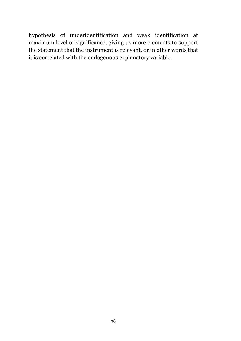hypothesis of underidentification and weak identification at maximum level of significance, giving us more elements to support the statement that the instrument is relevant, or in other words that it is correlated with the endogenous explanatory variable.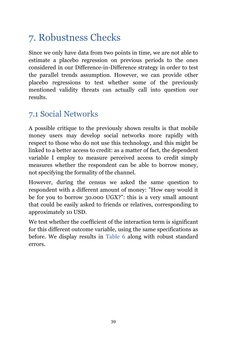## 7. Robustness Checks

Since we only have data from two points in time, we are not able to estimate a placebo regression on previous periods to the ones considered in our Difference-in-Difference strategy in order to test the parallel trends assumption. However, we can provide other placebo regressions to test whether some of the previously mentioned validity threats can actually call into question our results.

#### 7.1 Social Networks

A possible critique to the previously shown results is that mobile money users may develop social networks more rapidly with respect to those who do not use this technology, and this might be linked to a better access to credit: as a matter of fact, the dependent variable I employ to measure perceived access to credit simply measures whether the respondent can be able to borrow money, not specifying the formality of the channel.

However, during the census we asked the same question to respondent with a different amount of money: "How easy would it be for you to borrow 30.000 UGX?": this is a very small amount that could be easily asked to friends or relatives, corresponding to approximately 10 USD.

We test whether the coefficient of the interaction term is significant for this different outcome variable, using the same specifications as before. We display results in Table 6 along with robust standard errors.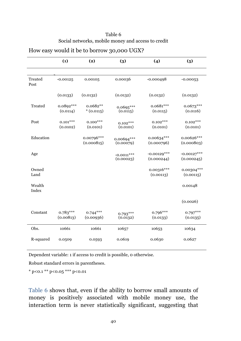| Table 6                                            |  |
|----------------------------------------------------|--|
| Social networks, mobile money and access to credit |  |

|                 | (1)                     | (2)                       | (3)                       | (4)                         | (5)                         |
|-----------------|-------------------------|---------------------------|---------------------------|-----------------------------|-----------------------------|
|                 |                         |                           |                           |                             |                             |
| Treated<br>Post | $-0.00125$              | 0.00105                   | 0.00036                   | $-0.000498$                 | $-0.00053$                  |
|                 | (0.0133)                | (0.0132)                  | (0.0132)                  | (0.0132)                    | (0.0132)                    |
| Treated         | 0.0892***<br>(0.0114)   | $0.0682**$<br>$*(0.0115)$ | $0.0695***$<br>(0.0115)   | $0.0681***$<br>(0.0115)     | $0.0673***$<br>(0.0116)     |
| Post            | $0.101***$<br>(0.0102)  | $0.100***$<br>(0.0101)    | $0.102***$<br>(0.0101)    | $0.102***$<br>(0.0101)      | $0.102***$<br>(0.0101)      |
| Education       |                         | 0.00796***<br>(0.000815)  | 0.00694***<br>(0.00079)   | $0.00634***$<br>(0.000796)  | 0.00626***<br>(0.000803)    |
| Age             |                         |                           | $-0.0011***$<br>(0.00023) | $-0.00129***$<br>(0.000244) | $-0.00127***$<br>(0.000245) |
| Owned<br>Land   |                         |                           |                           | $0.00316***$<br>(0.00113)   | 0.00304 ***<br>(0.00115)    |
| Wealth<br>Index |                         |                           |                           |                             | 0.00148                     |
|                 |                         |                           |                           |                             | (0.0026)                    |
| Constant        | $0.783***$<br>(0.00813) | $0.744***$<br>(0.00936)   | $0.793***$<br>(0.0132)    | $0.796***$<br>(0.0133)      | $0.797***$<br>(0.0135)      |
| Obs.            | 10661                   | 10661                     | 10657                     | 10653                       | 10634                       |
| R-squared       | 0.0509                  | 0.0593                    | 0.0619                    | 0.0630                      | 0.0627                      |

#### How easy would it be to borrow 30,000 UGX?

Dependent variable: 1 if access to credit is possible, 0 otherwise.

Robust standard errors in parentheses.

\* p<0.1 \*\* p<0.05 \*\*\* p<0.01

Table 6 shows that, even if the ability to borrow small amounts of money is positively associated with mobile money use, the interaction term is never statistically significant, suggesting that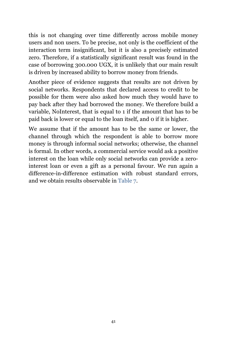this is not changing over time differently across mobile money users and non users. To be precise, not only is the coefficient of the interaction term insignificant, but it is also a precisely estimated zero. Therefore, if a statistically significant result was found in the case of borrowing 300.000 UGX, it is unlikely that our main result is driven by increased ability to borrow money from friends.

Another piece of evidence suggests that results are not driven by social networks. Respondents that declared access to credit to be possible for them were also asked how much they would have to pay back after they had borrowed the money. We therefore build a variable, NoInterest, that is equal to 1 if the amount that has to be paid back is lower or equal to the loan itself, and 0 if it is higher.

We assume that if the amount has to be the same or lower, the channel through which the respondent is able to borrow more money is through informal social networks; otherwise, the channel is formal. In other words, a commercial service would ask a positive interest on the loan while only social networks can provide a zerointerest loan or even a gift as a personal favour. We run again a difference-in-difference estimation with robust standard errors, and we obtain results observable in Table 7.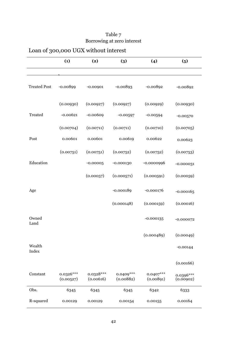|                     | (1)                      | (2)                      | (3)                      | (4)                      | (5)                      |
|---------------------|--------------------------|--------------------------|--------------------------|--------------------------|--------------------------|
| <b>Treated Post</b> | $-0.00899$               | $-0.00901$               | $-0.00893$               | $-0.00892$               | $-0.00892$               |
|                     | (0.00930)                | (0.00927)                | (0.00927)                | (0.00929)                | (0.00930)                |
| Treated             | $-0.00621$               | $-0.00609$               | $-0.00597$               | $-0.00594$               | $-0.00570$               |
|                     | (0.00704)                | (0.00711)                | (0.00711)                | (0.00710)                | (0.00705)                |
| Post                | 0.00601                  | 0.00601                  | 0.00619                  | 0.00622                  | 0.00623                  |
|                     | (0.00751)                | (0.00751)                | (0.00752)                | (0.00752)                | (0.00753)                |
| Education           |                          | $-0.00005$               | $-0.000130$              | $-0.0000996$             | $-0.000031$              |
|                     |                          | (0.00057)                | (0.000571)               | (0.000591)               | (0.00059)                |
| Age                 |                          |                          | $-0.000189$              | $-0.000176$              | $-0.000165$              |
|                     |                          |                          | (0.000148)               | (0.000159)               | (0.00016)                |
| Owned<br>Land       |                          |                          |                          | $-0.000135$              | $-0.000072$              |
|                     |                          |                          |                          | (0.000489)               | (0.00049)                |
| Wealth<br>Index     |                          |                          |                          |                          | $-0.00144$               |
|                     |                          |                          |                          |                          | (0.00166)                |
| Constant            | $0.0326***$<br>(0.00527) | $0.0328***$<br>(0.00616) | $0.0409***$<br>(0.00882) | $0.0407***$<br>(0.00891) | $0.0396***$<br>(0.00902) |
| Obs.                | 6345                     | 6345                     | 6345                     | 6342                     | 6333                     |
| R-squared           | 0.00129                  | 0.00129                  | 0.00154                  | 0.00155                  | 0.00164                  |

#### Table 7 Borrowing at zero interest

42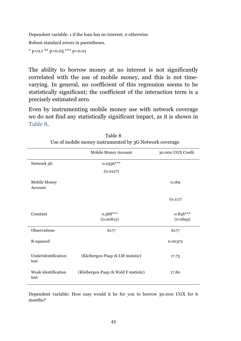Dependent variable: 1 if the loan has no interest, 0 otherwise.

Robust standard errors in parentheses.

 $*$  p<0.1  $*$  p <0.05  $*$  \*\*\* p <0.01

The ability to borrow money at no interest is not significantly correlated with the use of mobile money, and this is not timevarying. In general, no coefficient of this regression seems to be statistically significant; the coefficient of the interaction term is a precisely estimated zero.

Even by instrumenting mobile money use with network coverage we do not find any statistically significant impact, as it is shown in Table 8.

|                             | Mobile Money Account                  | 30.000 UGX Credit      |
|-----------------------------|---------------------------------------|------------------------|
| Network 3G                  | $0.0536***$                           |                        |
|                             | (0.0127)                              |                        |
| Mobile Money<br>Account     |                                       | 0.169                  |
|                             |                                       | (0.117)                |
| Constant                    | $0.568***$<br>(0.00813)               | $0.836***$<br>(0.0693) |
| Observations                | 6177                                  | 6177                   |
| R-squared                   |                                       | 0.00372                |
| Underidentification<br>test | (Kleibergen-Paap rk LM statistic)     | 17.75                  |
| Weak identification<br>test | (Kleibergen-Paap rk Wald F statistic) | 17.80                  |

| Table 8                                                 |
|---------------------------------------------------------|
| Use of mobile money instrumented by 3G Network coverage |

Dependent variable: How easy would it be for you to borrow 30.000 UGX for 6 months?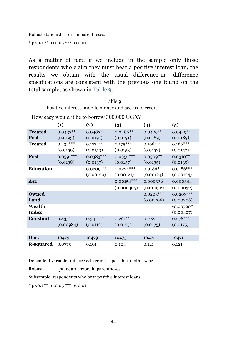Robust standard errors in parentheses.

 $*$  p<0.1 \*\* p<0.05 \*\*\* p<0.01

As a matter of fact, if we include in the sample only those respondents who claim they must bear a positive interest loan, the results we obtain with the usual difference-in- difference specifications are consistent with the previous one found on the total sample, as shown in Table 9.

| Table 9                                              |
|------------------------------------------------------|
| Positive interest, mobile money and access to credit |

How easy would it be to borrow 300,000 UGX?

|                  | (1)         | (2)         | (3)          | (4)         | $\left(5\right)$ |
|------------------|-------------|-------------|--------------|-------------|------------------|
| <b>Treated</b>   | $0.0432**$  | $0.0482**$  | $0.0486**$   | $0.0429**$  | $0.0429**$       |
| Post             | (0.0193)    | (0.0191)    | (0.0191)     | (0.0189)    | (0.0189)         |
| <b>Treated</b>   | $0.232***$  | $0.177***$  | $0.175***$   | $0.166***$  | $0.166***$       |
|                  | (0.0150)    | (0.0153)    | (0.0153)     | (0.0152)    | (0.0152)         |
| Post             | $0.0391***$ | $0.0383***$ | $0.0356***$  | $0.0309**$  | $0.0310**$       |
|                  | (0.0138)    | (0.0137)    | (0.0137)     | (0.0135)    | (0.0135)         |
| <b>Education</b> |             | $0.0209***$ | $0.0224***$  | $0.0186***$ | $0.0186***$      |
|                  |             | (0.00120)   | (0.00121)    | (0.00124)   | (0.00124)        |
| Age              |             |             | $0.00154***$ | 0.000336    | 0.000344         |
|                  |             |             | (0.000305)   | (0.00032)   | (0.00032)        |
| Owned            |             |             |              | $0.0203***$ | $0.0203***$      |
| Land             |             |             |              | (0.00206)   | (0.00206)        |
| Wealth           |             |             |              |             | $-0.00790*$      |
| <b>Index</b>     |             |             |              |             | (0.00407)        |
| Constant         | $0.433***$  | $0.331***$  | $0.261***$   | $0.278***$  | $0.278***$       |
|                  | (0.00984)   | (0.0112)    | (0.0175)     | (0.0175)    | (0.0175)         |
|                  |             |             |              |             |                  |
| Obs.             | 10479       | 10479       | 10475        | 10471       | 10471            |
| <b>R-squared</b> | 0.0775      | 0.101       | 0.104        | 0.121       | 0.121            |

Dependent variable: 1 if access to credit is possible, 0 otherwise

Robust standard errors in parentheses

Subsample: respondents who bear positive interest loans

\* p<0.1 \*\* p<0.05 \*\*\* p<0.01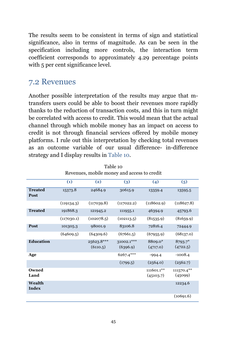The results seem to be consistent in terms of sign and statistical significance, also in terms of magnitude. As can be seen in the specification including more controls, the interaction term coefficient corresponds to approximately 4.29 percentage points with 5 per cent significance level.

#### 7.2 Revenues

Another possible interpretation of the results may argue that mtransfers users could be able to boost their revenues more rapidly thanks to the reduction of transaction costs, and this in turn might be correlated with access to credit. This would mean that the actual channel through which mobile money has an impact on access to credit is not through financial services offered by mobile money platforms. I rule out this interpretation by checking total revenues as an outcome variable of our usual difference- in-difference strategy and I display results in Table 10.

|                        | Revenues, mobile money and access to credit |                        |                        |                         |                       |  |  |
|------------------------|---------------------------------------------|------------------------|------------------------|-------------------------|-----------------------|--|--|
|                        | (1)                                         | (2)                    | (3)                    | (4)                     | (5)                   |  |  |
| <b>Treated</b><br>Post | 15373.8                                     | 24684.9                | 30615.9                | 13359.4                 | 13595.5               |  |  |
|                        | (119134.3)                                  | (117039.8)             | (117022.2)             | (118602.9)              | (118627.8)            |  |  |
| <b>Treated</b>         | 191868.3                                    | 121945.2               | 111955.1               | 46394.9                 | 45793.6               |  |  |
|                        | (117030.1)                                  | (102078.5)             | (102113.5)             | (81535.9)               | (81659.9)             |  |  |
| Post                   | 101305.3                                    | 98001.9                | 83106.8                | 72816.4                 | 72444.9               |  |  |
|                        | (64609.5)                                   | (64309.6)              | (67661.5)              | (67955.9)               | (68137.0)             |  |  |
| <b>Education</b>       |                                             | 25623.8***<br>(6110.5) | 31002.1***<br>(6396.9) | 8809.0*<br>(4717.0)     | 8793.7*<br>(4722.5)   |  |  |
| Age                    |                                             |                        | 6267.4***              | $-994.4$                | $-1008.4$             |  |  |
|                        |                                             |                        | (1799.5)               | (2564.0)                | (2562.7)              |  |  |
| Owned<br>Land          |                                             |                        |                        | 111601.1**<br>(45103.7) | 111570.4**<br>(45099) |  |  |
| Wealth<br><b>Index</b> |                                             |                        |                        |                         | 12234.6               |  |  |
|                        |                                             |                        |                        |                         | (10691.6)             |  |  |

Table 10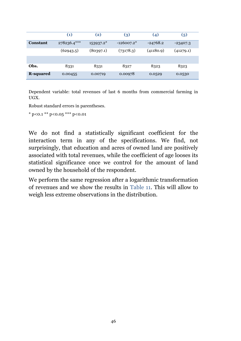|                  | $\left( 1\right)$ | (2)       | $\left(3\right)$ | $\left( 4\right)$ | (5)        |
|------------------|-------------------|-----------|------------------|-------------------|------------|
| <b>Constant</b>  | 278236.4***       | 153937.2* | $-126007.2*$     | $-24768.2$        | $-23407.3$ |
|                  | (62943.5)         | (80397.1) | (73178.3)        | (41180.9)         | (41279.1)  |
|                  |                   |           |                  |                   |            |
| Obs.             | 8331              | 8331      | 8327             | 8323              | 8323       |
| <b>R-squared</b> | 0.00455           | 0.00719   | 0.00978          | 0.0529            | 0.0530     |

Dependent variable: total revenues of last 6 months from commercial farming in UGX.

Robust standard errors in parentheses.

\* p*<*0.1 \*\* p*<*0.05 \*\*\* p*<*0.01

We do not find a statistically significant coefficient for the interaction term in any of the specifications. We find, not surprisingly, that education and acres of owned land are positively associated with total revenues, while the coefficient of age looses its statistical significance once we control for the amount of land owned by the household of the respondent.

We perform the same regression after a logarithmic transformation of revenues and we show the results in Table 11. This will allow to weigh less extreme observations in the distribution.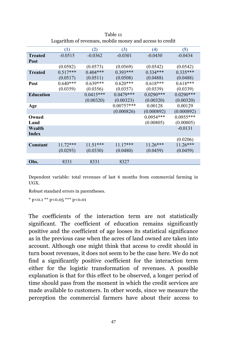|                  | (1)        | (2)         | (3)          | (4)         | (5)         |
|------------------|------------|-------------|--------------|-------------|-------------|
| <b>Treated</b>   | $-0.0515$  | $-0.0362$   | $-0.0301$    | $-0.0430$   | $-0.0434$   |
| <b>Post</b>      |            |             |              |             |             |
|                  | (0.0582)   | (0.0573)    | (0.0569)     | (0.0542)    | (0.0542)    |
| <b>Treated</b>   | $0.517***$ | $0.404***$  | $0.393***$   | $0.334***$  | $0.335***$  |
|                  | (0.0517)   | (0.0511)    | (0.0508)     | (0.0488)    | (0.0488)    |
| <b>Post</b>      | $0.640***$ | $0.639***$  | $0.620***$   | $0.618***$  | $0.618***$  |
|                  | (0.0359)   | (0.0356)    | (0.0357)     | (0.0339)    | (0.0339)    |
| <b>Education</b> |            | $0.0415***$ | $0.0479***$  | $0.0290***$ | $0.0290***$ |
|                  |            | (0.00320)   | (0.00323)    | (0.00320)   | (0.00320)   |
| Age              |            |             | $0.00757***$ | 0.00128     | 0.00129     |
|                  |            |             | (0.000826)   | (0.000892)  | (0.000892)  |
| Owned            |            |             |              | $0.0954***$ | $0.0955***$ |
| Land             |            |             |              | (0.00805)   | (0.00805)   |
| Wealth           |            |             |              |             | $-0.0131$   |
| <b>Index</b>     |            |             |              |             |             |
|                  |            |             |              |             | (0.0206)    |
| <b>Constant</b>  | $11.72***$ | $11.51***$  | $11.17***$   | $11.26***$  | $11.26***$  |
|                  | (0.0293)   | (0.0330)    | (0.0480)     | (0.0459)    | (0.0459)    |
|                  |            |             |              |             |             |
| Obs.             | 8331       | 8331        | 8327         |             |             |

Table 11 Logarithm of revenues, mobile money and access to credit

Dependent variable: total revenues of last 6 months from commercial farming in UGX.

Robust standard errors in parentheses.

 $*$  p<0.1  $*$  p <0.05  $*$  \*\*\* p <0.01

The coefficients of the interaction term are not statistically significant. The coefficient of education remains significantly positive and the coefficient of age looses its statistical significance as in the previous case when the acres of land owned are taken into account. Although one might think that access to credit should in turn boost revenues, it does not seem to be the case here. We do not find a significantly positive coefficient for the interaction term either for the logistic transformation of revenues. A possible explanation is that for this effect to be observed, a longer period of time should pass from the moment in which the credit services are made available to customers. In other words, since we measure the perception the commercial farmers have about their access to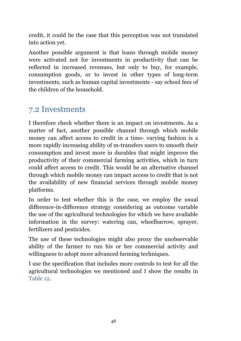credit, it could be the case that this perception was not translated into action yet.

Another possible argument is that loans through mobile money were activated not for investments in productivity that can be reflected in increased revenues, but only to buy, for example, consumption goods, or to invest in other types of long-term investments, such as human capital investments - say school fees of the children of the household.

#### 7.2 Investments

I therefore check whether there is an impact on investments. As a matter of fact, another possible channel through which mobile money can affect access to credit in a time- varying fashion is a more rapidly increasing ability of m-transfers users to smooth their consumption and invest more in durables that might improve the productivity of their commercial farming activities, which in turn could affect access to credit. This would be an alternative channel through which mobile money can impact access to credit that is not the availability of new financial services through mobile money platforms.

In order to test whether this is the case, we employ the usual difference-in-difference strategy considering as outcome variable the use of the agricultural technologies for which we have available information in the survey: watering can, wheelbarrow, sprayer, fertilizers and pesticides.

The use of these technologies might also proxy the unobservable ability of the farmer to run his or her commercial activity and willingness to adopt more advanced farming techniques.

I use the specification that includes more controls to test for all the agricultural technologies we mentioned and I show the results in Table 12.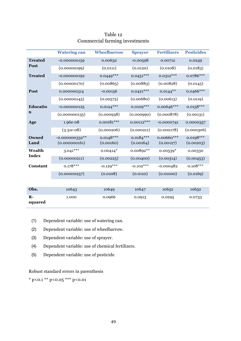|                        | <b>Watering can</b> | Wheelbarrow  | <b>Sprayer</b> | <b>Fertilizers</b> | <b>Pesticides</b> |
|------------------------|---------------------|--------------|----------------|--------------------|-------------------|
| <b>Treated</b><br>Post | $-0.000000159$      | 0.00632      | $-0.00598$     | 0.00712            | 0.0249            |
|                        | (0.00000199)        | (0.0111)     | (0.0120)       | (0.0108)           | (0.0183)          |
| <b>Treated</b>         | $-0.000000192$      | $0.0449***$  | $0.0451***$    | $0.0312***$        | 0.0786***         |
|                        | (0.00000170)        | (0.00865)    | (0.00883)      | (0.00828)          | (0.0145)          |
| Post                   | 0.000000314         | $-0.00156$   | $0.0421***$    | $0.0144***$        | $0.0466***$       |
|                        | (0.00000145)        | (0.00575)    | (0.00680)      | (0.00613)          | (0.0119)          |
| <b>Educatio</b>        | $-0.000000125$      | $0.0124***$  | $0.0109***$    | 0.00646***         | $0.0158***$       |
| n                      | (0.000000135)       | (0.000938)   | (0.000990)     | (0.000878)         | (0.00131)         |
| Age                    | 1.96e-08            | $0.00181***$ | $0.00112***$   | $-0.0000741$       | 0.0000357         |
|                        | $(3.31e-08)$        | (0.000206)   | (0.000211)     | (0.000178)         | (0.000306)        |
| Owned                  | $-0.000000332**$    | $0.0148***$  | $0.0184***$    | 0.00660***         | $0.0198***$       |
| Land                   | (0.000000161)       | (0.00160)    | (0.00164)      | (0.00127)          | (0.00203)         |
| Wealth                 | $3.041***$          | $0.00414*$   | 0.00892**      | $0.00539*$         | 0.00330           |
| <b>Index</b>           | (0.00000211)        | (0.00225)    | (0.00400)      | (0.00314)          | (0.00453)         |
| Constant               | $0.178***$          | $-0.129***$  | $-0.102***$    | $-0.000482$        | $0.108***$        |
|                        | (0.00000257)        | (0.0108)     | (0.0110)       | (0.01000)          | (0.0169)          |
|                        |                     |              |                |                    |                   |
| Obs.                   | 10643               | 10649        | 10647          | 10652              | 10652             |
| $R -$<br>squared       | 1.000               | 0.0966       | 0.0913         | 0.0295             | 0.0733            |

#### Table 12 Commercial farming investments

- (1) Dependent variable: use of watering can.
- (2) Dependent variable: use of wheelbarrow.
- (3) Dependent variable: use of sprayer.
- (4) Dependent variable: use of chemical fertilizers.
- (5) Dependent variable: use of pesticide

#### Robust standard errors in parenthesis

\* p<0.1 \*\* p<0.05 \*\*\* p<0.01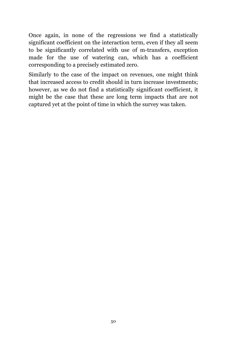Once again, in none of the regressions we find a statistically significant coefficient on the interaction term, even if they all seem to be significantly correlated with use of m-transfers, exception made for the use of watering can, which has a coefficient corresponding to a precisely estimated zero.

Similarly to the case of the impact on revenues, one might think that increased access to credit should in turn increase investments; however, as we do not find a statistically significant coefficient, it might be the case that these are long term impacts that are not captured yet at the point of time in which the survey was taken.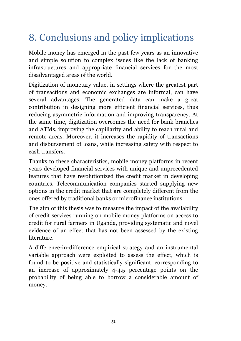## 8. Conclusions and policy implications

Mobile money has emerged in the past few years as an innovative and simple solution to complex issues like the lack of banking infrastructures and appropriate financial services for the most disadvantaged areas of the world.

Digitization of monetary value, in settings where the greatest part of transactions and economic exchanges are informal, can have several advantages. The generated data can make a great contribution in designing more efficient financial services, thus reducing asymmetric information and improving transparency. At the same time, digitization overcomes the need for bank branches and ATMs, improving the capillarity and ability to reach rural and remote areas. Moreover, it increases the rapidity of transactions and disbursement of loans, while increasing safety with respect to cash transfers.

Thanks to these characteristics, mobile money platforms in recent years developed financial services with unique and unprecedented features that have revolutionized the credit market in developing countries. Telecommunication companies started supplying new options in the credit market that are completely different from the ones offered by traditional banks or microfinance institutions.

The aim of this thesis was to measure the impact of the availability of credit services running on mobile money platforms on access to credit for rural farmers in Uganda, providing systematic and novel evidence of an effect that has not been assessed by the existing literature.

A difference-in-difference empirical strategy and an instrumental variable approach were exploited to assess the effect, which is found to be positive and statistically significant, corresponding to an increase of approximately 4-4.5 percentage points on the probability of being able to borrow a considerable amount of money.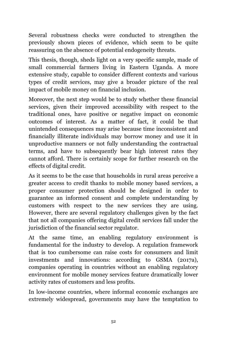Several robustness checks were conducted to strengthen the previously shown pieces of evidence, which seem to be quite reassuring on the absence of potential endogeneity threats.

This thesis, though, sheds light on a very specific sample, made of small commercial farmers living in Eastern Uganda. A more extensive study, capable to consider different contexts and various types of credit services, may give a broader picture of the real impact of mobile money on financial inclusion.

Moreover, the next step would be to study whether these financial services, given their improved accessibility with respect to the traditional ones, have positive or negative impact on economic outcomes of interest. As a matter of fact, it could be that unintended consequences may arise because time inconsistent and financially illiterate individuals may borrow money and use it in unproductive manners or not fully understanding the contractual terms, and have to subsequently bear high interest rates they cannot afford. There is certainly scope for further research on the effects of digital credit.

As it seems to be the case that households in rural areas perceive a greater access to credit thanks to mobile money based services, a proper consumer protection should be designed in order to guarantee an informed consent and complete understanding by customers with respect to the new services they are using. However, there are several regulatory challenges given by the fact that not all companies offering digital credit services fall under the jurisdiction of the financial sector regulator.

At the same time, an enabling regulatory environment is fundamental for the industry to develop. A regulation framework that is too cumbersome can raise costs for consumers and limit investments and innovations: according to GSMA (2017a), companies operating in countries without an enabling regulatory environment for mobile money services feature dramatically lower activity rates of customers and less profits.

In low-income countries, where informal economic exchanges are extremely widespread, governments may have the temptation to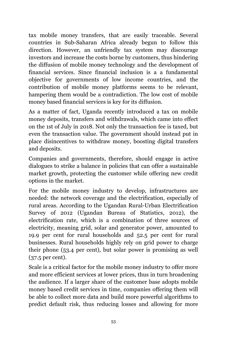tax mobile money transfers, that are easily traceable. Several countries in Sub-Saharan Africa already begun to follow this direction. However, an unfriendly tax system may discourage investors and increase the costs borne by customers, thus hindering the diffusion of mobile money technology and the development of financial services. Since financial inclusion is a a fundamental objective for governments of low income countries, and the contribution of mobile money platforms seems to be relevant, hampering them would be a contradiction. The low cost of mobile money based financial services is key for its diffusion.

As a matter of fact, Uganda recently introduced a tax on mobile money deposits, transfers and withdrawals, which came into effect on the 1st of July in 2018. Not only the transaction fee is taxed, but even the transaction value. The government should instead put in place disincentives to withdraw money, boosting digital transfers and deposits.

Companies and governments, therefore, should engage in active dialogues to strike a balance in policies that can offer a sustainable market growth, protecting the customer while offering new credit options in the market.

For the mobile money industry to develop, infrastructures are needed: the network coverage and the electrification, especially of rural areas. According to the Ugandan Rural-Urban Electrification Survey of 2012 (Ugandan Bureau of Statistics, 2012), the electrification rate, which is a combination of three sources of electricity, meaning grid, solar and generator power, amounted to 19.9 per cent for rural households and 52.5 per cent for rural businesses. Rural households highly rely on grid power to charge their phone (53.4 per cent), but solar power is promising as well (37.5 per cent).

Scale is a critical factor for the mobile money industry to offer more and more efficient services at lower prices, thus in turn broadening the audience. If a larger share of the customer base adopts mobile money based credit services in time, companies offering them will be able to collect more data and build more powerful algorithms to predict default risk, thus reducing losses and allowing for more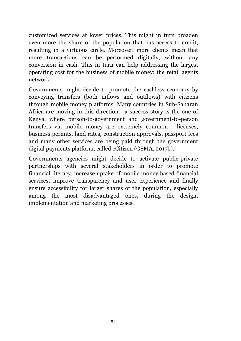customized services at lower prices. This might in turn broaden even more the share of the population that has access to credit, resulting in a virtuous circle. Moreover, more clients mean that more transactions can be performed digitally, without any conversion in cash. This in turn can help addressing the largest operating cost for the business of mobile money: the retail agents network.

Governments might decide to promote the cashless economy by conveying transfers (both inflows and outflows) with citizens through mobile money platforms. Many countries in Sub-Saharan Africa are moving in this direction: a success story is the one of Kenya, where person-to-government and government-to-person transfers via mobile money are extremely common - licenses, business permits, land rates, construction approvals, passport fees and many other services are being paid through the government digital payments platform, called eCitizen (GSMA, 2017b).

Governments agencies might decide to activate public-private partnerships with several stakeholders in order to promote financial literacy, increase uptake of mobile money based financial services, improve transparency and user experience and finally ensure accessibility for larger shares of the population, especially among the most disadvantaged ones, during the design, implementation and marketing processes.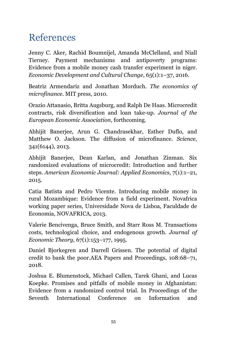### References

Jenny C. Aker, Rachid Boumnijel, Amanda McClelland, and Niall Tierney. Payment mechanisms and antipoverty programs: Evidence from a mobile money cash transfer experiment in niger. *Economic Development and Cultural Change*, 65(1):1–37, 2016.

Beatriz Armendariz and Jonathan Morduch. *The economics of microfinance*. MIT press, 2010.

Orazio Attanasio, Britta Augsburg, and Ralph De Haas. Microcredit contracts, risk diversification and loan take-up. *Journal of the European Economic Association*, forthcoming.

Abhijit Banerjee, Arun G. Chandrasekhar, Esther Duflo, and Matthew O. Jackson. The diffusion of microfinance. *Science*, 341(6144), 2013.

Abhijit Banerjee, Dean Karlan, and Jonathan Zinman. Six randomized evaluations of microcredit: Introduction and further steps. *American Economic Journal: Applied Economics*, 7(1):1–21, 2015.

Catia Batista and Pedro Vicente. Introducing mobile money in rural Mozambique: Evidence from a field experiment. Novafrica working paper series, Universidade Nova de Lisboa, Faculdade de Economia, NOVAFRICA, 2013.

Valerie Bencivenga, Bruce Smith, and Starr Ross M. Transactions costs, technological choice, and endogenous growth. *Journal of Economic Theory*, 67(1):153–177, 1995.

Daniel Bjorkegren and Darrell Grissen. The potential of digital credit to bank the poor.AEA Papers and Proceedings, 108:68–71, 2018.

Joshua E. Blumenstock, Michael Callen, Tarek Ghani, and Lucas Koepke. Promises and pitfalls of mobile money in Afghanistan: Evidence from a randomized control trial. In Proceedings of the Seventh International Conference on Information and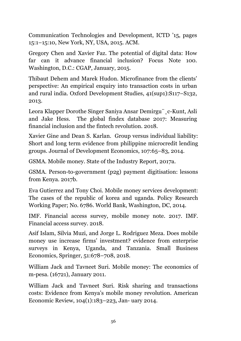Communication Technologies and Development, ICTD '15, pages 15:1–15:10, New York, NY, USA, 2015. ACM.

Gregory Chen and Xavier Faz. The potential of digital data: How far can it advance financial inclusion? Focus Note 100. Washington, D.C.: CGAP, January, 2015.

Thibaut Dehem and Marek Hudon. Microfinance from the clients' perspective: An empirical enquiry into transaction costs in urban and rural india. Oxford Development Studies, 41(sup1):S117–S132, 2013.

Leora Klapper Dorothe Singer Saniya Ansar Demirgu¨¸c-Kunt, Asli and Jake Hess. The global findex database 2017: Measuring financial inclusion and the fintech revolution. 2018.

Xavier Gine and Dean S. Karlan. Group versus individual liability: Short and long term evidence from philippine microcredit lending groups. Journal of Development Economics, 107:65–83, 2014.

GSMA. Mobile money. State of the Industry Report, 2017a.

GSMA. Person-to-government (p2g) payment digitisation: lessons from Kenya. 2017b.

Eva Gutierrez and Tony Choi. Mobile money services development: The cases of the republic of korea and uganda. Policy Research Working Paper; No. 6786. World Bank, Washington, DC, 2014.

IMF. Financial access survey, mobile money note. 2017. IMF. Financial access survey. 2018.

Asif Islam, Silvia Muzi, and Jorge L. Rodriguez Meza. Does mobile money use increase firms' investment? evidence from enterprise surveys in Kenya, Uganda, and Tanzania. Small Business Economics, Springer, 51:678–708, 2018.

William Jack and Tavneet Suri. Mobile money: The economics of m-pesa. (16721), January 2011.

William Jack and Tavneet Suri. Risk sharing and transactions costs: Evidence from Kenya's mobile money revolution. American Economic Review, 104(1):183–223, Jan- uary 2014.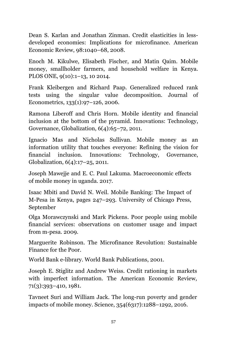Dean S. Karlan and Jonathan Zinman. Credit elasticities in lessdeveloped economies: Implications for microfinance. American Economic Review, 98:1040–68, 2008.

Enoch M. Kikulwe, Elisabeth Fischer, and Matin Qaim. Mobile money, smallholder farmers, and household welfare in Kenya. PLOS ONE, 9(10):1–13, 10 2014.

Frank Kleibergen and Richard Paap. Generalized reduced rank tests using the singular value decomposition. Journal of Econometrics, 133(1):97–126, 2006.

Ramona Liberoff and Chris Horn. Mobile identity and financial inclusion at the bottom of the pyramid. Innovations: Technology, Governance, Globalization, 6(4):65–72, 2011.

Ignacio Mas and Nicholas Sullivan. Mobile money as an information utility that touches everyone: Refining the vision for financial inclusion. Innovations: Technology, Governance, Globalization, 6(4):17–25, 2011.

Joseph Mawejje and E. C. Paul Lakuma. Macroeconomic effects of mobile money in uganda. 2017.

Isaac Mbiti and David N. Weil. Mobile Banking: The Impact of M-Pesa in Kenya, pages 247–293. University of Chicago Press, September

Olga Morawczynski and Mark Pickens. Poor people using mobile financial services: observations on customer usage and impact from m-pesa. 2009.

Marguerite Robinson. The Microfinance Revolution: Sustainable Finance for the Poor.

World Bank e-library. World Bank Publications, 2001.

Joseph E. Stiglitz and Andrew Weiss. Credit rationing in markets with imperfect information. The American Economic Review, 71(3):393–410, 1981.

Tavneet Suri and William Jack. The long-run poverty and gender impacts of mobile money. Science, 354(6317):1288–1292, 2016.